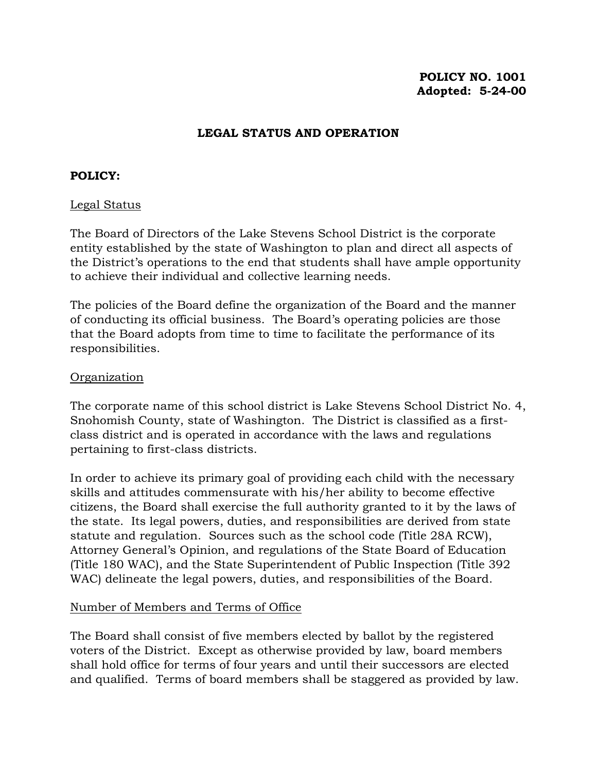# **POLICY NO. 1001 Adopted: 5-24-00**

## **LEGAL STATUS AND OPERATION**

### **POLICY:**

### Legal Status

The Board of Directors of the Lake Stevens School District is the corporate entity established by the state of Washington to plan and direct all aspects of the District's operations to the end that students shall have ample opportunity to achieve their individual and collective learning needs.

The policies of the Board define the organization of the Board and the manner of conducting its official business. The Board's operating policies are those that the Board adopts from time to time to facilitate the performance of its responsibilities.

### Organization

The corporate name of this school district is Lake Stevens School District No. 4, Snohomish County, state of Washington. The District is classified as a firstclass district and is operated in accordance with the laws and regulations pertaining to first-class districts.

In order to achieve its primary goal of providing each child with the necessary skills and attitudes commensurate with his/her ability to become effective citizens, the Board shall exercise the full authority granted to it by the laws of the state. Its legal powers, duties, and responsibilities are derived from state statute and regulation. Sources such as the school code (Title 28A RCW), Attorney General's Opinion, and regulations of the State Board of Education (Title 180 WAC), and the State Superintendent of Public Inspection (Title 392 WAC) delineate the legal powers, duties, and responsibilities of the Board.

#### Number of Members and Terms of Office

The Board shall consist of five members elected by ballot by the registered voters of the District. Except as otherwise provided by law, board members shall hold office for terms of four years and until their successors are elected and qualified. Terms of board members shall be staggered as provided by law.